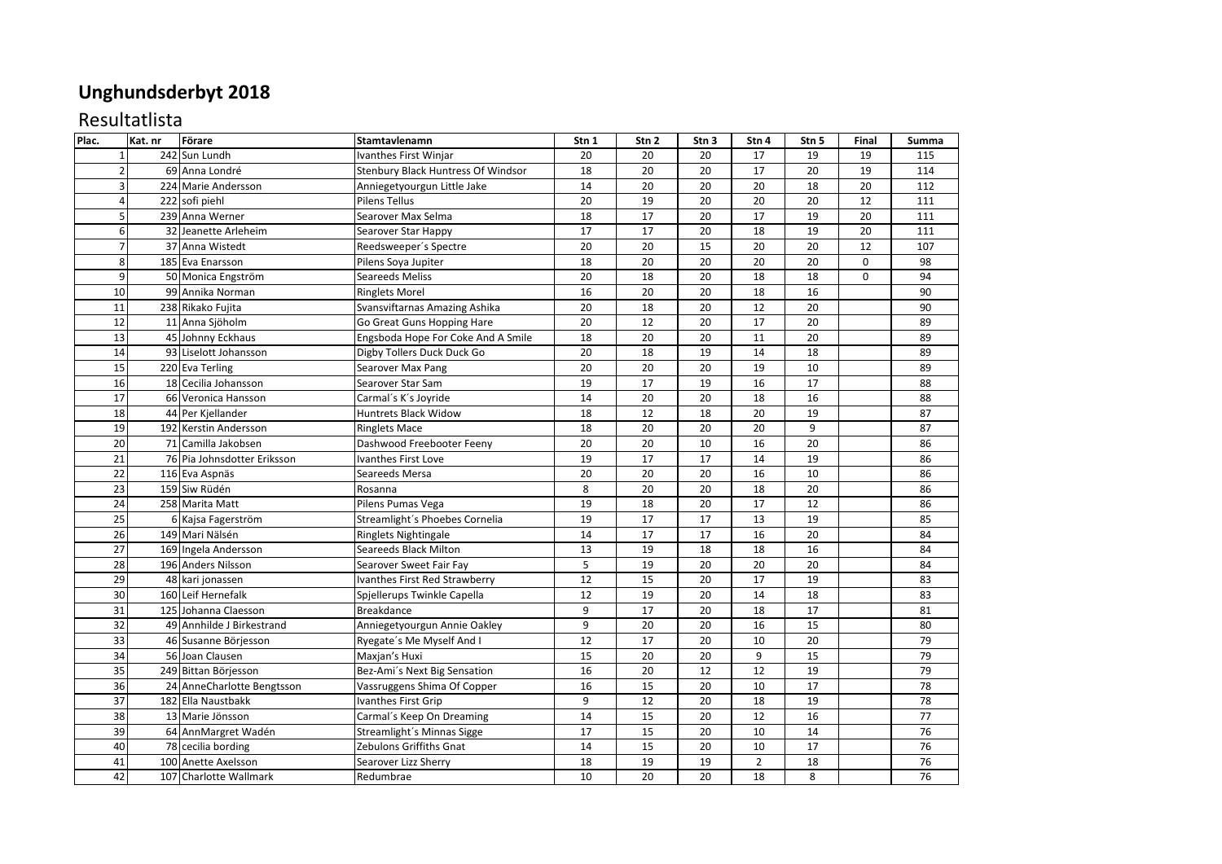## **Unghundsderbyt 2018**

## Resultatlista

| Plac.           | Kat. nr | Förare                      | Stamtavlenamn                      | Stn 1 | Stn 2  | Stn 3           | Stn 4          | Stn 5 | Final    | Summa |
|-----------------|---------|-----------------------------|------------------------------------|-------|--------|-----------------|----------------|-------|----------|-------|
| $\mathbf{1}$    |         | 242 Sun Lundh               | Ivanthes First Winjar              | 20    | 20     | 20              | 17             | 19    | 19       | 115   |
| $\overline{2}$  |         | 69 Anna Londré              | Stenbury Black Huntress Of Windsor | 18    | $20\,$ | 20              | 17             | 20    | 19       | 114   |
| 3               |         | 224 Marie Andersson         | Anniegetyourgun Little Jake        | 14    | 20     | 20              | 20             | 18    | 20       | 112   |
| $\overline{4}$  |         | 222 sofi piehl              | Pilens Tellus                      | 20    | 19     | 20              | 20             | 20    | 12       | 111   |
| 5               |         | 239 Anna Werner             | Searover Max Selma                 | 18    | 17     | 20              | 17             | 19    | 20       | 111   |
| 6               |         | 32 Jeanette Arleheim        | Searover Star Happy                | 17    | 17     | 20              | 18             | 19    | 20       | 111   |
| $\overline{7}$  |         | 37 Anna Wistedt             | Reedsweeper's Spectre              | 20    | 20     | 15              | 20             | 20    | 12       | 107   |
| 8               |         | 185 Eva Enarsson            | Pilens Soya Jupiter                | 18    | 20     | 20              | 20             | 20    | $\Omega$ | 98    |
| 9               |         | 50 Monica Engström          | <b>Seareeds Meliss</b>             | 20    | 18     | 20              | 18             | 18    | $\Omega$ | 94    |
| 10              |         | 99 Annika Norman            | <b>Ringlets Morel</b>              | 16    | 20     | 20              | 18             | 16    |          | 90    |
| 11              |         | 238 Rikako Fujita           | Svansviftarnas Amazing Ashika      | 20    | 18     | 20              | 12             | 20    |          | 90    |
| 12              |         | 11 Anna Sjöholm             | Go Great Guns Hopping Hare         | 20    | 12     | 20              | 17             | 20    |          | 89    |
| 13              |         | 45 Johnny Eckhaus           | Engsboda Hope For Coke And A Smile | 18    | 20     | 20              | 11             | 20    |          | 89    |
| 14              |         | 93 Liselott Johansson       | Digby Tollers Duck Duck Go         | 20    | 18     | 19              | 14             | 18    |          | 89    |
| 15              |         | 220 Eva Terling             | Searover Max Pang                  | 20    | $20\,$ | 20              | 19             | 10    |          | 89    |
| 16              |         | 18 Cecilia Johansson        | Searover Star Sam                  | 19    | 17     | 19              | 16             | 17    |          | 88    |
| $17\,$          |         | 66 Veronica Hansson         | Carmal's K's Joyride               | 14    | 20     | 20              | 18             | 16    |          | 88    |
| 18              |         | 44 Per Kjellander           | Huntrets Black Widow               | 18    | 12     | 18              | 20             | 19    |          | 87    |
| 19              |         | 192 Kerstin Andersson       | <b>Ringlets Mace</b>               | 18    | 20     | 20              | 20             | 9     |          | 87    |
| 20              |         | 71 Camilla Jakobsen         | Dashwood Freebooter Feeny          | 20    | 20     | 10              | 16             | 20    |          | 86    |
| 21              |         | 76 Pia Johnsdotter Eriksson | Ivanthes First Love                | 19    | 17     | 17              | 14             | 19    |          | 86    |
| 22              |         | 116 Eva Aspnäs              | Seareeds Mersa                     | 20    | 20     | 20              | 16             | 10    |          | 86    |
| $\overline{23}$ |         | 159 Siw Rüdén               | Rosanna                            | 8     | 20     | 20              | 18             | 20    |          | 86    |
| 24              |         | 258 Marita Matt             | Pilens Pumas Vega                  | 19    | 18     | 20              | 17             | 12    |          | 86    |
| 25              |         | 6 Kajsa Fagerström          | Streamlight's Phoebes Cornelia     | 19    | 17     | $\overline{17}$ | 13             | 19    |          | 85    |
| 26              |         | 149 Mari Nälsén             | Ringlets Nightingale               | 14    | 17     | 17              | 16             | 20    |          | 84    |
| $\overline{27}$ |         | 169 Ingela Andersson        | Seareeds Black Milton              | 13    | 19     | 18              | 18             | 16    |          | 84    |
| $\overline{28}$ |         | 196 Anders Nilsson          | Searover Sweet Fair Fay            | 5     | 19     | 20              | 20             | 20    |          | 84    |
| 29              |         | 48 kari jonassen            | Ivanthes First Red Strawberry      | 12    | 15     | 20              | 17             | 19    |          | 83    |
| 30              |         | 160 Leif Hernefalk          | Spjellerups Twinkle Capella        | 12    | 19     | 20              | 14             | 18    |          | 83    |
| 31              |         | 125 Johanna Claesson        | <b>Breakdance</b>                  | 9     | 17     | 20              | 18             | 17    |          | 81    |
| 32              |         | 49 Annhilde J Birkestrand   | Anniegetyourgun Annie Oakley       | 9     | 20     | 20              | 16             | 15    |          | 80    |
| 33              |         | 46 Susanne Börjesson        | Ryegate's Me Myself And I          | 12    | 17     | 20              | 10             | 20    |          | 79    |
| 34              |         | 56 Joan Clausen             | Maxjan's Huxi                      | 15    | 20     | 20              | 9              | 15    |          | 79    |
| 35              |         | 249 Bittan Börjesson        | Bez-Ami's Next Big Sensation       | 16    | 20     | 12              | 12             | 19    |          | 79    |
| 36              |         | 24 AnneCharlotte Bengtsson  | Vassruggens Shima Of Copper        | 16    | 15     | 20              | 10             | 17    |          | 78    |
| 37              |         | 182 Ella Naustbakk          | Ivanthes First Grip                | 9     | 12     | 20              | 18             | 19    |          | 78    |
| 38              |         | 13 Marie Jönsson            | Carmal's Keep On Dreaming          | 14    | 15     | 20              | 12             | 16    |          | 77    |
| 39              |         | 64 AnnMargret Wadén         | Streamlight's Minnas Sigge         | 17    | 15     | 20              | 10             | 14    |          | 76    |
| 40              |         | 78 cecilia bording          | Zebulons Griffiths Gnat            | 14    | 15     | 20              | 10             | 17    |          | 76    |
| 41              |         | 100 Anette Axelsson         | Searover Lizz Sherry               | 18    | 19     | 19              | $\overline{2}$ | 18    |          | 76    |
| 42              |         | 107 Charlotte Wallmark      | Redumbrae                          | 10    | 20     | 20              | 18             | 8     |          | 76    |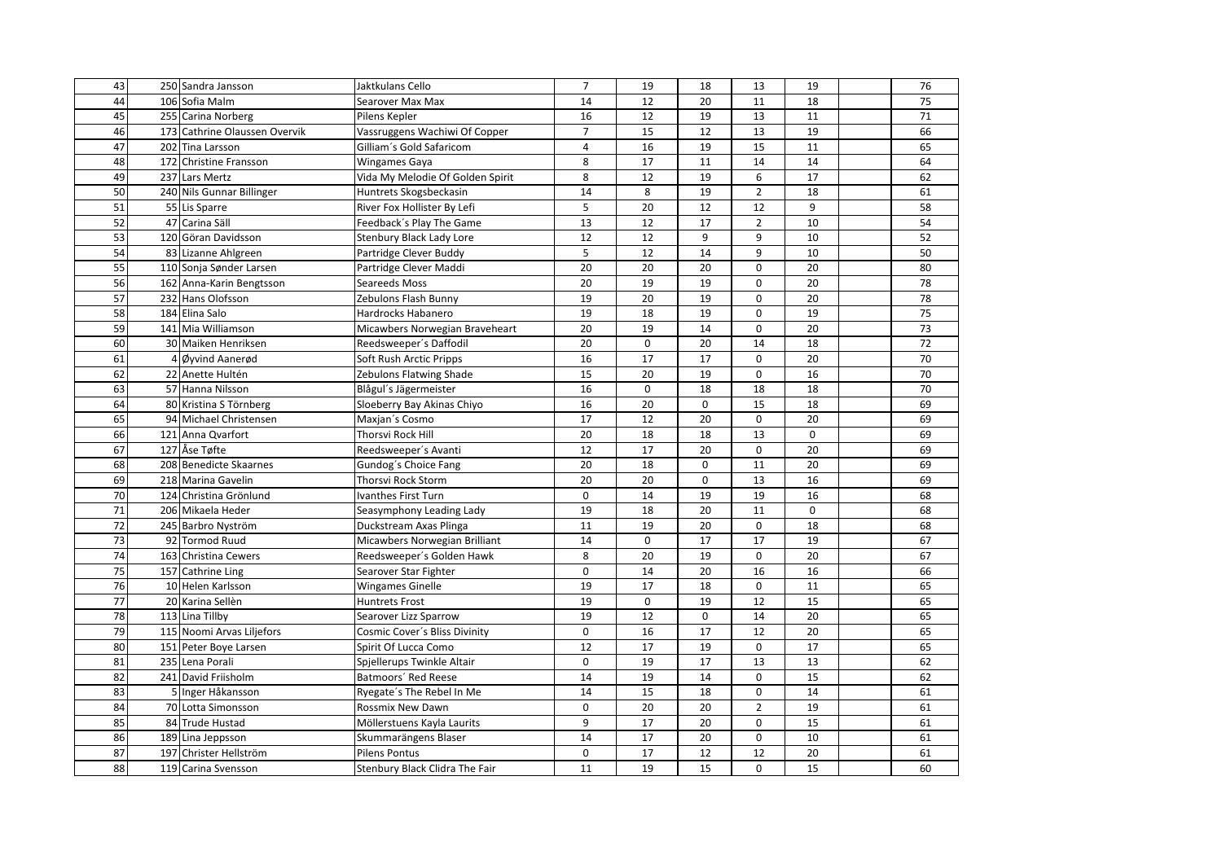| 43 | 250 Sandra Jansson            | Jaktkulans Cello                 | $\overline{7}$ | 19          | 18          | 13             | 19              | 76              |
|----|-------------------------------|----------------------------------|----------------|-------------|-------------|----------------|-----------------|-----------------|
| 44 | 106 Sofia Malm                | Searover Max Max                 | 14             | 12          | 20          | 11             | 18              | 75              |
| 45 | 255 Carina Norberg            | Pilens Kepler                    | 16             | 12          | 19          | 13             | 11              | 71              |
| 46 | 173 Cathrine Olaussen Overvik | Vassruggens Wachiwi Of Copper    | $\overline{7}$ | 15          | 12          | 13             | 19              | 66              |
| 47 | 202 Tina Larsson              | Gilliam's Gold Safaricom         | $\overline{4}$ | 16          | 19          | 15             | 11              | 65              |
| 48 | 172 Christine Fransson        | Wingames Gaya                    | 8              | 17          | 11          | 14             | 14              | 64              |
| 49 | 237 Lars Mertz                | Vida My Melodie Of Golden Spirit | 8              | 12          | 19          | 6              | 17              | 62              |
| 50 | 240 Nils Gunnar Billinger     | Huntrets Skogsbeckasin           | 14             | 8           | 19          | $\overline{2}$ | 18              | 61              |
| 51 | 55 Lis Sparre                 | River Fox Hollister By Lefi      | 5              | 20          | 12          | 12             | 9               | 58              |
| 52 | 47 Carina Säll                | Feedback's Play The Game         | 13             | 12          | 17          | $\overline{2}$ | 10              | 54              |
| 53 | 120 Göran Davidsson           | Stenbury Black Lady Lore         | 12             | 12          | 9           | 9              | 10              | 52              |
| 54 | 83 Lizanne Ahlgreen           | Partridge Clever Buddy           | 5              | 12          | 14          | 9              | 10              | 50              |
| 55 | 110 Sonja Sønder Larsen       | Partridge Clever Maddi           | 20             | 20          | 20          | 0              | 20              | 80              |
| 56 | 162 Anna-Karin Bengtsson      | Seareeds Moss                    | 20             | 19          | 19          | 0              | 20              | 78              |
| 57 | 232 Hans Olofsson             | Zebulons Flash Bunny             | 19             | 20          | 19          | 0              | 20              | 78              |
| 58 | 184 Elina Salo                | Hardrocks Habanero               | 19             | 18          | 19          | 0              | 19              | 75              |
| 59 | 141 Mia Williamson            | Micawbers Norwegian Braveheart   | 20             | 19          | 14          | 0              | 20              | 73              |
| 60 | 30 Maiken Henriksen           | Reedsweeper's Daffodil           | 20             | 0           | 20          | 14             | 18              | $\overline{72}$ |
| 61 | 4 Øyvind Aanerød              | Soft Rush Arctic Pripps          | 16             | 17          | 17          | 0              | $\overline{20}$ | 70              |
| 62 | 22 Anette Hultén              | Zebulons Flatwing Shade          | 15             | 20          | 19          | 0              | 16              | 70              |
| 63 | 57 Hanna Nilsson              | Blågul's Jägermeister            | 16             | 0           | 18          | 18             | 18              | 70              |
| 64 | 80 Kristina S Törnberg        | Sloeberry Bay Akinas Chiyo       | 16             | 20          | $\mathbf 0$ | 15             | 18              | 69              |
| 65 | 94 Michael Christensen        | Maxjan's Cosmo                   | 17             | 12          | 20          | 0              | 20              | 69              |
| 66 | 121 Anna Qvarfort             | Thorsvi Rock Hill                | 20             | 18          | 18          | 13             | 0               | 69              |
| 67 | 127 Åse Tøfte                 | Reedsweeper's Avanti             | 12             | 17          | 20          | 0              | 20              | 69              |
| 68 | 208 Benedicte Skaarnes        | Gundog's Choice Fang             | 20             | 18          | 0           | $11\,$         | 20              | 69              |
| 69 | 218 Marina Gavelin            | Thorsvi Rock Storm               | 20             | 20          | $\mathsf 0$ | 13             | 16              | 69              |
| 70 | 124 Christina Grönlund        | Ivanthes First Turn              | $\mathbf 0$    | 14          | 19          | 19             | 16              | 68              |
| 71 | 206 Mikaela Heder             | Seasymphony Leading Lady         | 19             | 18          | 20          | 11             | 0               | 68              |
| 72 | 245 Barbro Nyström            | Duckstream Axas Plinga           | 11             | 19          | 20          | 0              | 18              | 68              |
| 73 | 92 Tormod Ruud                | Micawbers Norwegian Brilliant    | 14             | $\mathbf 0$ | 17          | 17             | 19              | 67              |
| 74 | 163 Christina Cewers          | Reedsweeper's Golden Hawk        | 8              | 20          | 19          | 0              | 20              | 67              |
| 75 | 157 Cathrine Ling             | Searover Star Fighter            | $\mathbf 0$    | 14          | 20          | 16             | 16              | 66              |
| 76 | 10 Helen Karlsson             | Wingames Ginelle                 | 19             | 17          | 18          | 0              | 11              | 65              |
| 77 | 20 Karina Sellèn              | <b>Huntrets Frost</b>            | 19             | 0           | 19          | 12             | 15              | 65              |
| 78 | 113 Lina Tillby               | Searover Lizz Sparrow            | 19             | 12          | $\mathbf 0$ | 14             | 20              | 65              |
| 79 | 115 Noomi Arvas Liljefors     | Cosmic Cover's Bliss Divinity    | 0              | 16          | 17          | 12             | 20              | 65              |
| 80 | 151 Peter Boye Larsen         | Spirit Of Lucca Como             | 12             | 17          | 19          | 0              | 17              | 65              |
| 81 | 235 Lena Porali               | Spjellerups Twinkle Altair       | $\mathbf 0$    | 19          | 17          | 13             | 13              | 62              |
| 82 | 241 David Friisholm           | Batmoors' Red Reese              | 14             | 19          | 14          | 0              | 15              | 62              |
| 83 | 5 Inger Håkansson             | Ryegate's The Rebel In Me        | 14             | 15          | 18          | 0              | 14              | 61              |
| 84 | 70 Lotta Simonsson            | Rossmix New Dawn                 | 0              | 20          | 20          | $\overline{2}$ | 19              | 61              |
| 85 | 84 Trude Hustad               | Möllerstuens Kayla Laurits       | 9              | 17          | 20          | 0              | 15              | 61              |
| 86 | 189 Lina Jeppsson             | Skummarängens Blaser             | 14             | 17          | 20          | 0              | 10              | 61              |
| 87 | 197 Christer Hellström        | <b>Pilens Pontus</b>             | 0              | 17          | 12          | 12             | 20              | 61              |
| 88 | 119 Carina Svensson           | Stenbury Black Clidra The Fair   | 11             | 19          | 15          | 0              | 15              | 60              |
|    |                               |                                  |                |             |             |                |                 |                 |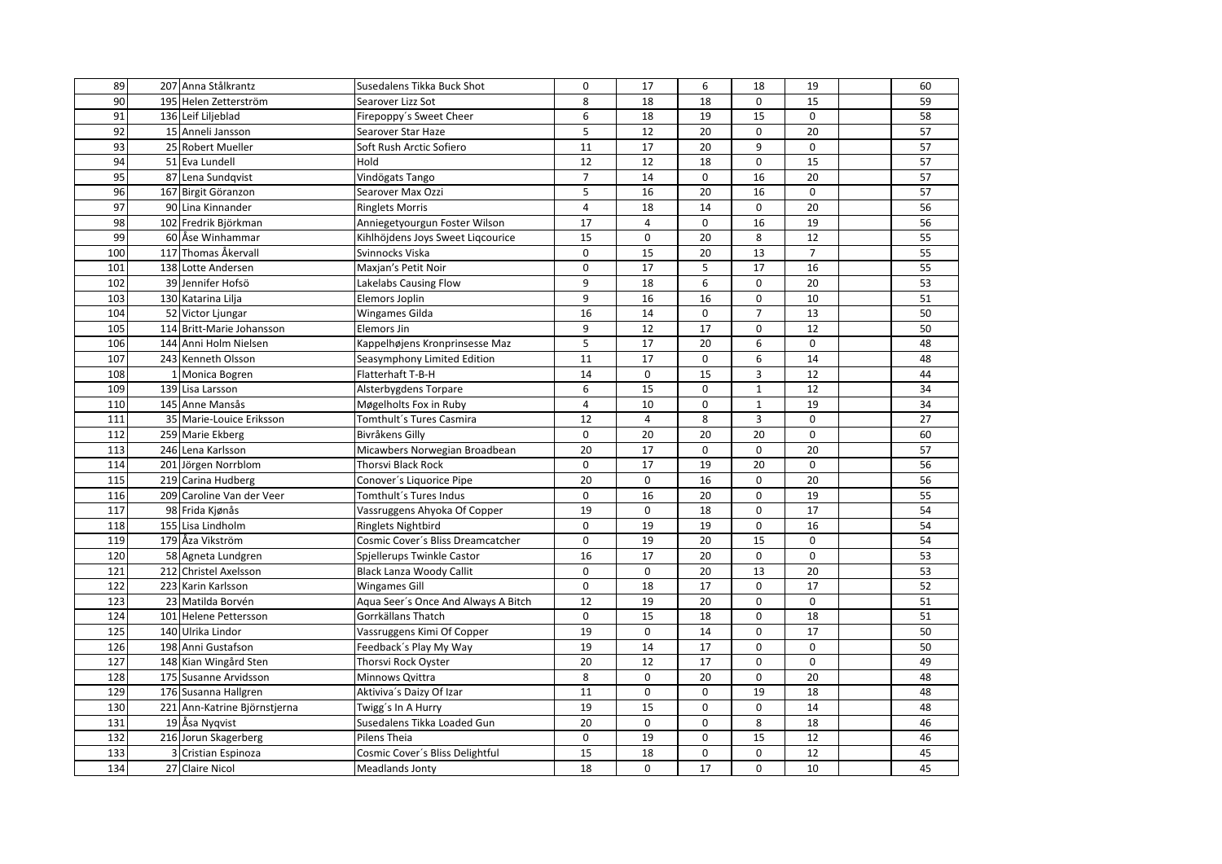| 89              | 207 Anna Stålkrantz          | Susedalens Tikka Buck Shot          | $\mathbf 0$    | 17             | 6           | 18             | 19              | 60              |
|-----------------|------------------------------|-------------------------------------|----------------|----------------|-------------|----------------|-----------------|-----------------|
| 90              | 195 Helen Zetterström        | Searover Lizz Sot                   | 8              | 18             | 18          | 0              | 15              | 59              |
| 91              | 136 Leif Liljeblad           | Firepoppy's Sweet Cheer             | 6              | 18             | 19          | 15             | $\mathbf 0$     | 58              |
| 92              | 15 Anneli Jansson            | Searover Star Haze                  | 5              | 12             | 20          | $\Omega$       | 20              | 57              |
| 93              | 25 Robert Mueller            | Soft Rush Arctic Sofiero            | 11             | 17             | 20          | 9              | $\mathbf 0$     | 57              |
| 94              | 51 Eva Lundell               | Hold                                | 12             | 12             | 18          | 0              | 15              | 57              |
| 95              | 87 Lena Sundqvist            | Vindögats Tango                     | $\overline{7}$ | 14             | $\Omega$    | 16             | 20              | 57              |
| 96              | 167 Birgit Göranzon          | Searover Max Ozzi                   | 5              | 16             | 20          | 16             | $\mathbf 0$     | 57              |
| $\overline{97}$ | 90 Lina Kinnander            | <b>Ringlets Morris</b>              | $\overline{4}$ | 18             | 14          | 0              | $\overline{20}$ | 56              |
| 98              | 102 Fredrik Björkman         | Anniegetyourgun Foster Wilson       | 17             | $\overline{4}$ | $\Omega$    | 16             | 19              | 56              |
| 99              | 60 Åse Winhammar             | Kihlhöjdens Joys Sweet Ligcourice   | 15             | 0              | 20          | 8              | 12              | 55              |
| 100             | 117 Thomas Åkervall          | Svinnocks Viska                     | $\Omega$       | 15             | 20          | 13             | $\overline{7}$  | 55              |
| 101             | 138 Lotte Andersen           | Maxjan's Petit Noir                 | $\mathbf 0$    | 17             | 5           | 17             | 16              | 55              |
| 102             | 39 Jennifer Hofsö            | Lakelabs Causing Flow               | 9              | 18             | 6           | 0              | 20              | 53              |
| 103             | 130 Katarina Lilja           | Elemors Joplin                      | 9              | 16             | 16          | 0              | 10              | 51              |
| 104             | 52 Victor Ljungar            | Wingames Gilda                      | 16             | 14             | $\mathbf 0$ | $\overline{7}$ | 13              | 50              |
| 105             | 114 Britt-Marie Johansson    | <b>Elemors Jin</b>                  | 9              | 12             | 17          | 0              | 12              | 50              |
| 106             | 144 Anni Holm Nielsen        | Kappelhøjens Kronprinsesse Maz      | 5              | 17             | 20          | 6              | $\pmb{0}$       | 48              |
| 107             | 243 Kenneth Olsson           | Seasymphony Limited Edition         | 11             | 17             | $\mathbf 0$ | 6              | 14              | 48              |
| 108             | 1 Monica Bogren              | Flatterhaft T-B-H                   | 14             | $\mathbf 0$    | 15          | 3              | 12              | 44              |
| 109             | 139 Lisa Larsson             | Alsterbygdens Torpare               | 6              | 15             | $\mathbf 0$ | $\mathbf 1$    | 12              | 34              |
| 110             | 145 Anne Mansås              | Møgelholts Fox in Ruby              | $\overline{4}$ | 10             | $\mathbf 0$ | $\mathbf 1$    | 19              | 34              |
| 111             | 35 Marie-Louice Eriksson     | Tomthult's Tures Casmira            | 12             | $\overline{4}$ | 8           | 3              | $\mathbf 0$     | $\overline{27}$ |
| 112             | 259 Marie Ekberg             | Bivråkens Gilly                     | $\mathbf 0$    | 20             | 20          | 20             | $\mathbf 0$     | 60              |
| 113             | 246 Lena Karlsson            | Micawbers Norwegian Broadbean       | 20             | 17             | $\Omega$    | 0              | 20              | 57              |
| 114             | 201 Jörgen Norrblom          | Thorsvi Black Rock                  | $\mathbf 0$    | 17             | 19          | 20             | $\mathbf 0$     | 56              |
| 115             | 219 Carina Hudberg           | Conover's Liquorice Pipe            | 20             | 0              | 16          | 0              | 20              | 56              |
| 116             | 209 Caroline Van der Veer    | Tomthult's Tures Indus              | $\mathbf 0$    | 16             | 20          | 0              | 19              | 55              |
| 117             | 98 Frida Kjønås              | Vassruggens Ahyoka Of Copper        | 19             | 0              | 18          | 0              | 17              | 54              |
| 118             | 155 Lisa Lindholm            | Ringlets Nightbird                  | $\mathbf 0$    | 19             | 19          | 0              | 16              | 54              |
| 119             | 179 Åza Vikström             | Cosmic Cover's Bliss Dreamcatcher   | $\mathbf 0$    | 19             | 20          | 15             | $\mathbf 0$     | 54              |
| 120             | 58 Agneta Lundgren           | Spjellerups Twinkle Castor          | 16             | 17             | 20          | 0              | $\pmb{0}$       | 53              |
| 121             | 212 Christel Axelsson        | <b>Black Lanza Woody Callit</b>     | $\mathbf 0$    | 0              | 20          | 13             | $\overline{20}$ | 53              |
| 122             | 223 Karin Karlsson           | <b>Wingames Gill</b>                | $\mathbf 0$    | 18             | 17          | 0              | 17              | 52              |
| 123             | 23 Matilda Borvén            | Aqua Seer's Once And Always A Bitch | 12             | 19             | 20          | 0              | $\pmb{0}$       | 51              |
| 124             | 101 Helene Pettersson        | Gorrkällans Thatch                  | $\mathbf 0$    | 15             | 18          | 0              | 18              | 51              |
| 125             | 140 Ulrika Lindor            | Vassruggens Kimi Of Copper          | 19             | 0              | 14          | 0              | 17              | 50              |
| 126             | 198 Anni Gustafson           | Feedback's Play My Way              | 19             | 14             | 17          | 0              | $\mathbf 0$     | 50              |
| 127             | 148 Kian Wingård Sten        | Thorsvi Rock Oyster                 | 20             | 12             | 17          | 0              | $\mathsf 0$     | 49              |
| 128             | 175 Susanne Arvidsson        | Minnows Qvittra                     | 8              | 0              | 20          | 0              | 20              | 48              |
| 129             | 176 Susanna Hallgren         | Aktiviva's Daizy Of Izar            | 11             | 0              | 0           | 19             | 18              | 48              |
| 130             | 221 Ann-Katrine Björnstjerna | Twigg's In A Hurry                  | 19             | 15             | $\mathbf 0$ | 0              | 14              | 48              |
| 131             | 19 Åsa Nygvist               | Susedalens Tikka Loaded Gun         | 20             | 0              | 0           | 8              | 18              | 46              |
| 132             | 216 Jorun Skagerberg         | Pilens Theia                        | $\mathbf 0$    | 19             | $\mathbf 0$ | 15             | 12              | 46              |
| 133             | 3 Cristian Espinoza          | Cosmic Cover's Bliss Delightful     | 15             | 18             | 0           | 0              | 12              | 45              |
| 134             | 27 Claire Nicol              | Meadlands Jonty                     | 18             | $\mathbf 0$    | 17          | $\mathbf 0$    | 10              | 45              |
|                 |                              |                                     |                |                |             |                |                 |                 |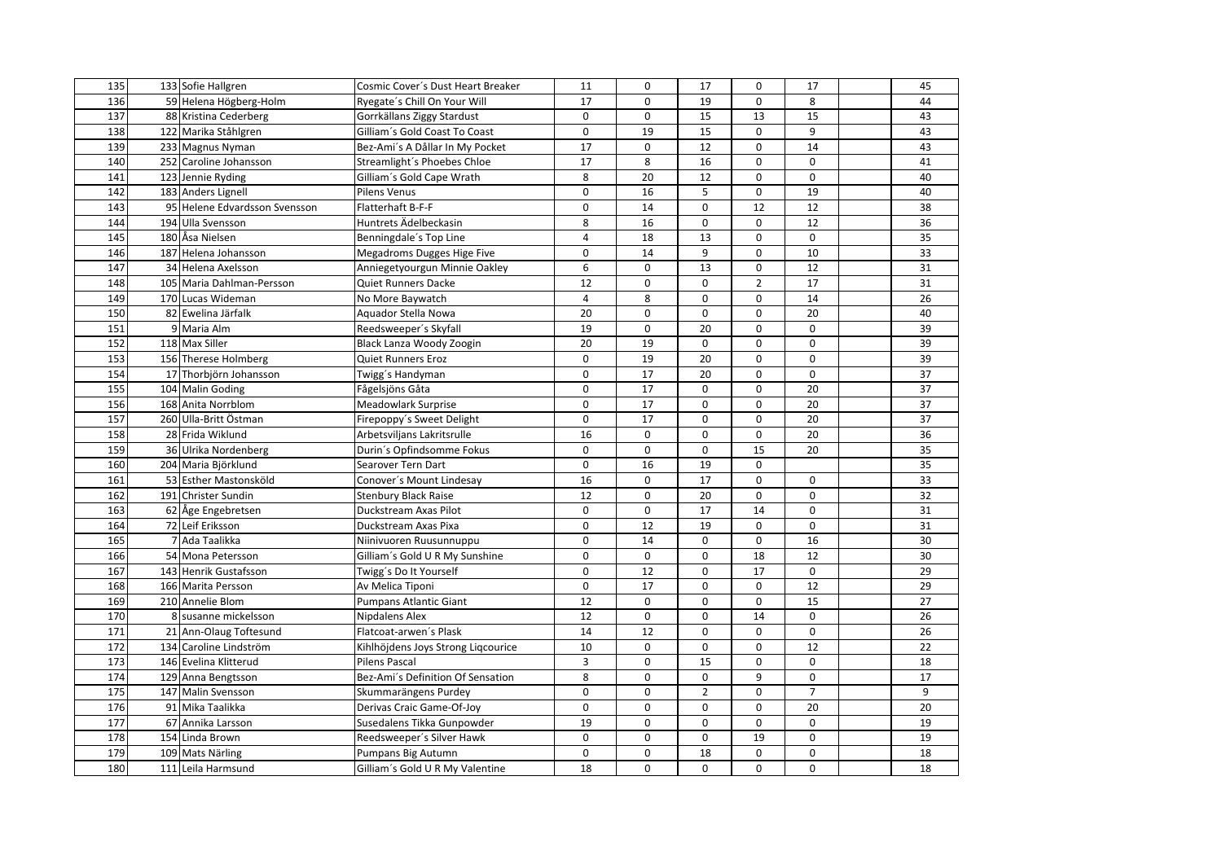| 135 | 133 Sofie Hallgren            | Cosmic Cover's Dust Heart Breaker  | 11             | $\mathbf 0$ | 17             | 0              | 17             | 45 |
|-----|-------------------------------|------------------------------------|----------------|-------------|----------------|----------------|----------------|----|
| 136 | 59 Helena Högberg-Holm        | Ryegate's Chill On Your Will       | 17             | $\Omega$    | 19             | 0              | 8              | 44 |
| 137 | 88 Kristina Cederberg         | Gorrkällans Ziggy Stardust         | $\mathbf 0$    | 0           | 15             | 13             | 15             | 43 |
| 138 | 122 Marika Ståhlgren          | Gilliam's Gold Coast To Coast      | $\Omega$       | 19          | 15             | $\Omega$       | 9              | 43 |
| 139 | 233 Magnus Nyman              | Bez-Ami's A Dållar In My Pocket    | 17             | 0           | 12             | 0              | 14             | 43 |
| 140 | 252 Caroline Johansson        | Streamlight's Phoebes Chloe        | 17             | 8           | 16             | 0              | $\mathbf 0$    | 41 |
| 141 | 123 Jennie Ryding             | Gilliam's Gold Cape Wrath          | 8              | 20          | 12             | 0              | $\mathbf 0$    | 40 |
| 142 | 183 Anders Lignell            | Pilens Venus                       | $\mathbf 0$    | 16          | 5              | 0              | 19             | 40 |
| 143 | 95 Helene Edvardsson Svensson | Flatterhaft B-F-F                  | $\mathbf 0$    | 14          | $\mathbf 0$    | 12             | 12             | 38 |
| 144 | 194 Ulla Svensson             | Huntrets Ädelbeckasin              | 8              | 16          | $\mathbf 0$    | 0              | 12             | 36 |
| 145 | 180 Åsa Nielsen               | Benningdale's Top Line             | 4              | 18          | 13             | 0              | 0              | 35 |
| 146 | 187 Helena Johansson          | Megadroms Dugges Hige Five         | $\mathbf 0$    | 14          | 9              | 0              | 10             | 33 |
| 147 | 34 Helena Axelsson            | Anniegetyourgun Minnie Oakley      | 6              | 0           | 13             | 0              | 12             | 31 |
| 148 | 105 Maria Dahlman-Persson     | <b>Quiet Runners Dacke</b>         | 12             | 0           | $\mathbf 0$    | $\overline{2}$ | 17             | 31 |
| 149 | 170 Lucas Wideman             | No More Baywatch                   | $\overline{4}$ | 8           | 0              | 0              | 14             | 26 |
| 150 | 82 Ewelina Järfalk            | Aquador Stella Nowa                | 20             | $\mathbf 0$ | $\mathbf 0$    | 0              | 20             | 40 |
| 151 | 9 Maria Alm                   | Reedsweeper's Skyfall              | 19             | 0           | 20             | 0              | 0              | 39 |
| 152 | 118 Max Siller                | Black Lanza Woody Zoogin           | 20             | 19          | $\mathbf 0$    | 0              | $\mathsf 0$    | 39 |
| 153 | 156 Therese Holmberg          | Quiet Runners Eroz                 | $\mathbf 0$    | 19          | 20             | 0              | 0              | 39 |
| 154 | 17 Thorbjörn Johansson        | Twigg's Handyman                   | $\mathbf 0$    | 17          | 20             | 0              | $\mathbf 0$    | 37 |
| 155 | 104 Malin Goding              | Fågelsjöns Gåta                    | $\mathbf 0$    | 17          | $\mathbf 0$    | 0              | 20             | 37 |
| 156 | 168 Anita Norrblom            | Meadowlark Surprise                | 0              | 17          | $\mathbf 0$    | 0              | 20             | 37 |
| 157 | 260 Ulla-Britt Östman         | Firepoppy's Sweet Delight          | $\mathsf 0$    | 17          | $\mathbf 0$    | 0              | 20             | 37 |
| 158 | 28 Frida Wiklund              | Arbetsviljans Lakritsrulle         | 16             | 0           | $\mathbf 0$    | 0              | 20             | 36 |
| 159 | 36 Ulrika Nordenberg          | Durin's Opfindsomme Fokus          | $\Omega$       | $\mathbf 0$ | $\Omega$       | 15             | 20             | 35 |
| 160 | 204 Maria Björklund           | Searover Tern Dart                 | $\mathsf 0$    | 16          | 19             | 0              |                | 35 |
| 161 | 53 Esther Mastonsköld         | Conover's Mount Lindesay           | 16             | 0           | 17             | 0              | $\pmb{0}$      | 33 |
| 162 | 191 Christer Sundin           | <b>Stenbury Black Raise</b>        | 12             | $\mathbf 0$ | 20             | 0              | $\mathbf 0$    | 32 |
| 163 | 62 Åge Engebretsen            | Duckstream Axas Pilot              | $\Omega$       | $\mathbf 0$ | 17             | 14             | $\mathbf 0$    | 31 |
| 164 | 72 Leif Eriksson              | Duckstream Axas Pixa               | $\mathbf 0$    | 12          | 19             | 0              | $\mathbf 0$    | 31 |
| 165 | 7 Ada Taalikka                | Niinivuoren Ruusunnuppu            | $\mathbf 0$    | 14          | $\mathbf 0$    | 0              | 16             | 30 |
| 166 | 54 Mona Petersson             | Gilliam's Gold U R My Sunshine     | $\mathbf 0$    | 0           | $\mathbf 0$    | 18             | 12             | 30 |
| 167 | 143 Henrik Gustafsson         | Twigg's Do It Yourself             | $\mathbf 0$    | 12          | $\Omega$       | 17             | $\mathbf 0$    | 29 |
| 168 | 166 Marita Persson            | Av Melica Tiponi                   | $\mathbf 0$    | 17          | $\mathbf 0$    | 0              | 12             | 29 |
| 169 | 210 Annelie Blom              | <b>Pumpans Atlantic Giant</b>      | 12             | $\mathbf 0$ | $\mathbf 0$    | 0              | 15             | 27 |
| 170 | 8 susanne mickelsson          | Nipdalens Alex                     | 12             | $\mathbf 0$ | $\mathbf 0$    | 14             | $\mathbf 0$    | 26 |
| 171 | 21 Ann-Olaug Toftesund        | Flatcoat-arwen's Plask             | 14             | 12          | $\Omega$       | 0              | $\mathbf 0$    | 26 |
| 172 | 134 Caroline Lindström        | Kihlhöjdens Joys Strong Liqcourice | 10             | 0           | $\mathbf 0$    | 0              | 12             | 22 |
| 173 | 146 Evelina Klitterud         | <b>Pilens Pascal</b>               | $\overline{3}$ | $\mathbf 0$ | 15             | 0              | $\mathbf 0$    | 18 |
| 174 | 129 Anna Bengtsson            | Bez-Ami's Definition Of Sensation  | 8              | 0           | $\mathbf 0$    | 9              | 0              | 17 |
| 175 | 147 Malin Svensson            | Skummarängens Purdey               | $\mathbf 0$    | $\mathbf 0$ | $\overline{2}$ | 0              | $\overline{7}$ | 9  |
| 176 | 91 Mika Taalikka              | Derivas Craic Game-Of-Joy          | $\mathbf 0$    | 0           | $\mathbf 0$    | 0              | 20             | 20 |
| 177 | 67 Annika Larsson             | Susedalens Tikka Gunpowder         | 19             | 0           | $\mathbf 0$    | 0              | $\pmb{0}$      | 19 |
| 178 | 154 Linda Brown               | Reedsweeper's Silver Hawk          | $\mathbf 0$    | $\mathbf 0$ | $\mathbf 0$    | 19             | 0              | 19 |
| 179 | 109 Mats Närling              | Pumpans Big Autumn                 | $\mathsf 0$    | 0           | 18             | 0              | 0              | 18 |
| 180 | 111 Leila Harmsund            | Gilliam's Gold U R My Valentine    | 18             | $\mathbf 0$ | 0              | 0              | $\mathbf 0$    | 18 |
|     |                               |                                    |                |             |                |                |                |    |